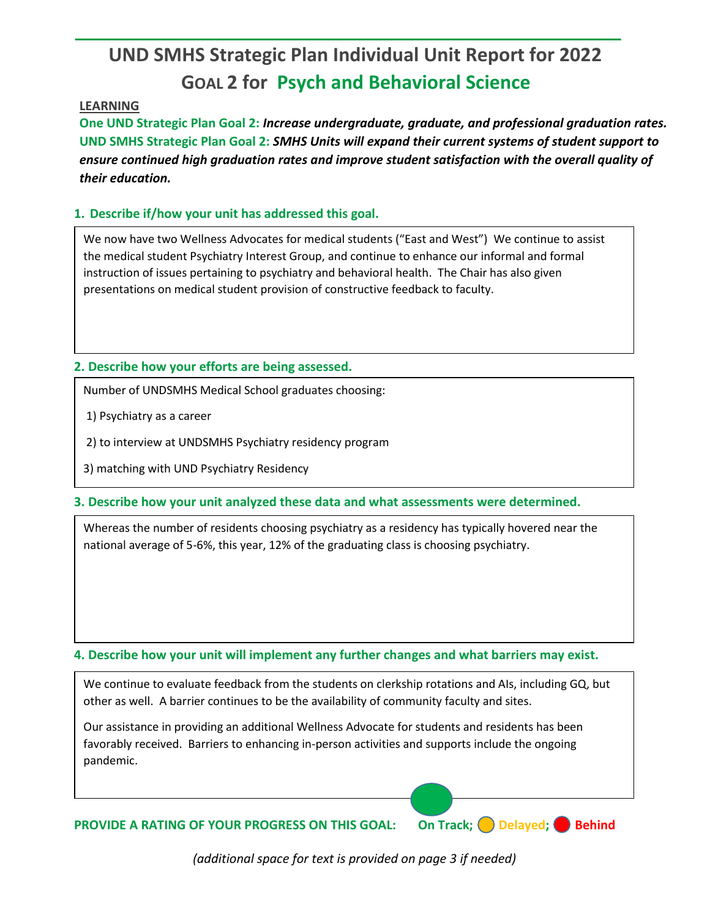# **UND SMHS Strategic Plan Individual Unit Report for 2022 GOAL 2 for Psych and Behavioral Science**

#### **LEARNING**

**One UND Strategic Plan Goal 2:** *Increase undergraduate, graduate, and professional graduation rates.* **UND SMHS Strategic Plan Goal 2:** *SMHS Units will expand their current systems of student support to ensure continued high graduation rates and improve student satisfaction with the overall quality of their education.*

## **1. Describe if/how your unit has addressed this goal.**

We now have two Wellness Advocates for medical students ("East and West") We continue to assist the medical student Psychiatry Interest Group, and continue to enhance our informal and formal instruction of issues pertaining to psychiatry and behavioral health. The Chair has also given presentations on medical student provision of constructive feedback to faculty.

## **2. Describe how your efforts are being assessed.**

Number of UNDSMHS Medical School graduates choosing:

1) Psychiatry as a career

2) to interview at UNDSMHS Psychiatry residency program

3) matching with UND Psychiatry Residency

**3. Describe how your unit analyzed these data and what assessments were determined.** 

Whereas the number of residents choosing psychiatry as a residency has typically hovered near the national average of 5-6%, this year, 12% of the graduating class is choosing psychiatry.

#### **4. Describe how your unit will implement any further changes and what barriers may exist.**

We continue to evaluate feedback from the students on clerkship rotations and AIs, including GQ, but other as well. A barrier continues to be the availability of community faculty and sites.

Our assistance in providing an additional Wellness Advocate for students and residents has been favorably received. Barriers to enhancing in-person activities and supports include the ongoing pandemic.

**PROVIDE A RATING OF YOUR PROGRESS ON THIS GOAL: On Track; Delayed; Behind** 

*(additional space for text is provided on page 3 if needed)*